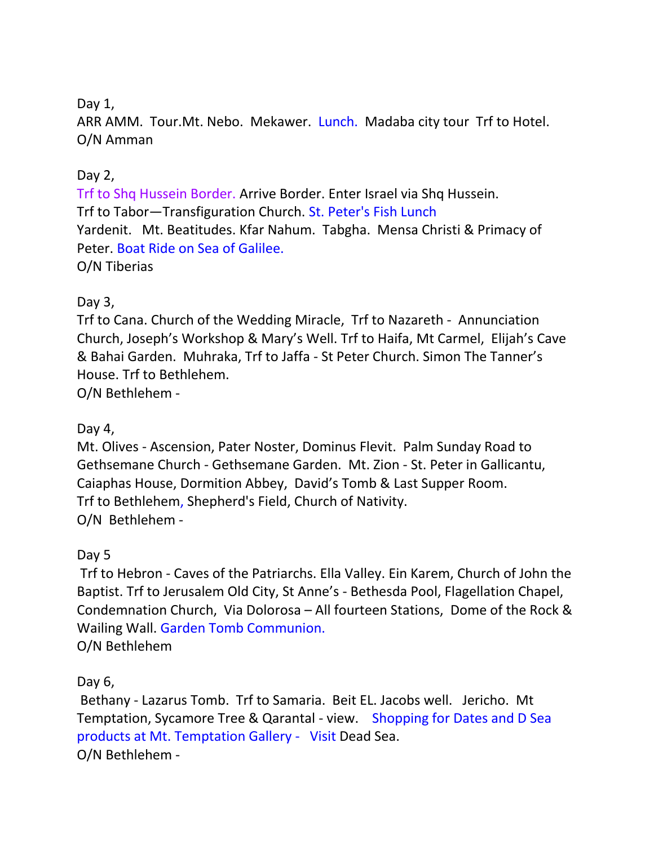# Day 1,

ARR AMM. Tour. Mt. Nebo. Mekawer. Lunch. Madaba city tour Trf to Hotel. O/N Amman

## Day 2,

Trf to Shq Hussein Border. Arrive Border. Enter Israel via Shq Hussein. Trf to Tabor—Transfiguration Church. St. Peter's Fish Lunch Yardenit. Mt. Beatitudes. Kfar Nahum. Tabgha. Mensa Christi & Primacy of Peter. Boat Ride on Sea of Galilee. O/N Tiberias

# Day 3,

Trf to Cana. Church of the Wedding Miracle, Trf to Nazareth - Annunciation Church, Joseph's Workshop & Mary's Well. Trf to Haifa, Mt Carmel, Elijah's Cave & Bahai Garden. Muhraka, Trf to Jaffa - St Peter Church. Simon The Tanner's House. Trf to Bethlehem.

O/N Bethlehem -

### Day 4,

Mt. Olives - Ascension, Pater Noster, Dominus Flevit. Palm Sunday Road to Gethsemane Church - Gethsemane Garden. Mt. Zion - St. Peter in Gallicantu, Caiaphas House, Dormition Abbey, David's Tomb & Last Supper Room. Trf to Bethlehem, Shepherd's Field, Church of Nativity. O/N Bethlehem -

### Day 5

Trf to Hebron - Caves of the Patriarchs. Ella Valley. Ein Karem, Church of John the Baptist. Trf to Jerusalem Old City, St Anne's - Bethesda Pool, Flagellation Chapel, Condemnation Church, Via Dolorosa – All fourteen Stations, Dome of the Rock & Wailing Wall. Garden Tomb Communion. O/N Bethlehem

Day 6,

Bethany - Lazarus Tomb. Trf to Samaria. Beit EL. Jacobs well. Jericho. Mt Temptation, Sycamore Tree & Qarantal - view. Shopping for Dates and D Sea products at Mt. Temptation Gallery - Visit Dead Sea. O/N Bethlehem -